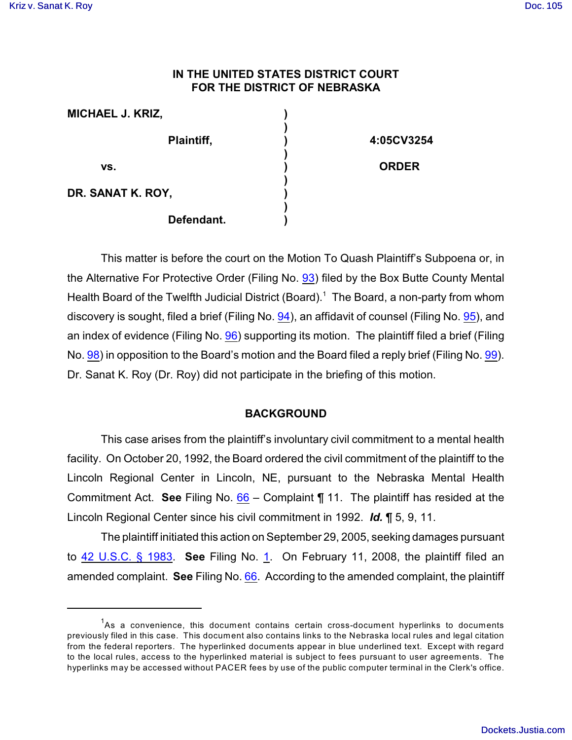# **IN THE UNITED STATES DISTRICT COURT FOR THE DISTRICT OF NEBRASKA**

| <b>MICHAEL J. KRIZ,</b> |              |
|-------------------------|--------------|
| Plaintiff,              | 4:05CV3254   |
| VS.                     | <b>ORDER</b> |
| DR. SANAT K. ROY,       |              |
| Defendant.              |              |

This matter is before the court on the Motion To Quash Plaintiff's Subpoena or, in the Alternative For Protective Order (Filing No. [93](http://ecf.ned.uscourts.gov/doc1/11301514612)) filed by the Box Butte County Mental Health Board of the Twelfth Judicial District (Board).<sup>1</sup> The Board, a non-party from whom discovery is sought, filed a brief (Filing No. [94](http://ecf.ned.uscourts.gov/doc1/11301514615)), an affidavit of counsel (Filing No. [95](http://ecf.ned.uscourts.gov/doc1/11301514618)), and an index of evidence (Filing No. [96](http://ecf.ned.uscourts.gov/doc1/11301514625)) supporting its motion. The plaintiff filed a brief (Filing No. [98](http://ecf.ned.uscourts.gov/doc1/11301523088)) in opposition to the Board's motion and the Board filed a reply brief (Filing No. [99](http://ecf.ned.uscourts.gov/doc1/11301529662)). Dr. Sanat K. Roy (Dr. Roy) did not participate in the briefing of this motion.

# **BACKGROUND**

This case arises from the plaintiff's involuntary civil commitment to a mental health facility. On October 20, 1992, the Board ordered the civil commitment of the plaintiff to the Lincoln Regional Center in Lincoln, NE, pursuant to the Nebraska Mental Health Commitment Act. **See** Filing No. [66](https://ecf.ned.uscourts.gov/doc1/11301374197) – Complaint ¶ 11. The plaintiff has resided at the Lincoln Regional Center since his civil commitment in 1992. *Id.* ¶ 5, 9, 11.

The plaintiff initiated this action on September 29, 2005, seeking damages pursuant to [42 U.S.C. § 1983](http://www.westlaw.com/find/default.wl?rs=CLWP3.0&vr=2.0&cite=42+USCA+s+1983). **See** Filing No. [1](http://ecf.ned.uscourts.gov/doc1/11301143731). On February 11, 2008, the plaintiff filed an amended complaint. **See** Filing No. [66](http://ecf.ned.uscourts.gov/doc1/11301374197). According to the amended complaint, the plaintiff

 $A$ s a convenience, this document contains certain cross-document hyperlinks to documents previously filed in this case. This document also contains links to the Nebraska local rules and legal citation from the federal reporters. The hyperlinked documents appear in blue underlined text. Except with regard to the local rules, access to the hyperlinked material is subject to fees pursuant to user agreements. The hyperlinks may be accessed without PACER fees by use of the public computer terminal in the Clerk's office.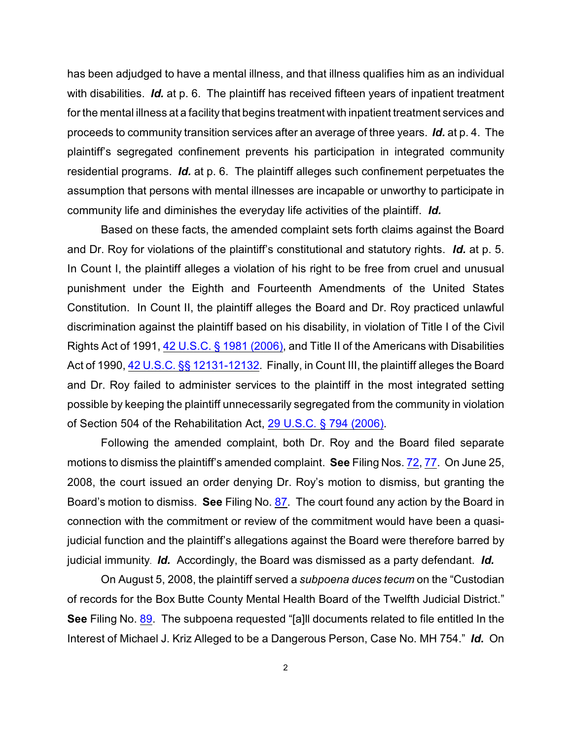has been adjudged to have a mental illness, and that illness qualifies him as an individual with disabilities. *Id.* at p. 6. The plaintiff has received fifteen years of inpatient treatment for the mental illness at a facility that begins treatment with inpatient treatment services and proceeds to community transition services after an average of three years. *Id.* at p. 4. The plaintiff's segregated confinement prevents his participation in integrated community residential programs. *Id.* at p. 6. The plaintiff alleges such confinement perpetuates the assumption that persons with mental illnesses are incapable or unworthy to participate in community life and diminishes the everyday life activities of the plaintiff. *Id.*

Based on these facts, the amended complaint sets forth claims against the Board and Dr. Roy for violations of the plaintiff's constitutional and statutory rights. *Id.* at p. 5. In Count I, the plaintiff alleges a violation of his right to be free from cruel and unusual punishment under the Eighth and Fourteenth Amendments of the United States Constitution. In Count II, the plaintiff alleges the Board and Dr. Roy practiced unlawful discrimination against the plaintiff based on his disability, in violation of Title I of the Civil Rights Act of 1991, [42 U.S.C. § 1981 \(2006\)](http://www.westlaw.com/find/default.wl?rs=CLWP3.0&vr=2.0&cite=42+USCA+s+1981), and Title II of the Americans with Disabilities Act of 1990, [42 U.S.C. §§ 12131-12132](http://www.westlaw.com/find/default.wl?rs=CLWP3.0&vr=2.0&cite=42+USCA+ss+12131-12132). Finally, in Count III, the plaintiff alleges the Board and Dr. Roy failed to administer services to the plaintiff in the most integrated setting possible by keeping the plaintiff unnecessarily segregated from the community in violation of Section 504 of the Rehabilitation Act, [29 U.S.C. § 794 \(2006\)](http://www.westlaw.com/find/default.wl?rs=CLWP3.0&vr=2.0&cite=29+USCA+s+794).

Following the amended complaint, both Dr. Roy and the Board filed separate motions to dismiss the plaintiff's amended complaint. **See** Filing Nos. [72](https://ecf.ned.uscourts.gov/doc1/11301386908), [77](https://ecf.ned.uscourts.gov/doc1/11301418002). On June 25, 2008, the court issued an order denying Dr. Roy's motion to dismiss, but granting the Board's motion to dismiss. **See** Filing No. [87](http://ecf.ned.uscourts.gov/doc1/11301476099). The court found any action by the Board in connection with the commitment or review of the commitment would have been a quasijudicial function and the plaintiff's allegations against the Board were therefore barred by judicial immunity. *Id.* Accordingly, the Board was dismissed as a party defendant. *Id.* 

On August 5, 2008, the plaintiff served a *subpoena duces tecum* on the "Custodian of records for the Box Butte County Mental Health Board of the Twelfth Judicial District." **See** Filing No. [89](http://ecf.ned.uscourts.gov/doc1/11301507336). The subpoena requested "[a]ll documents related to file entitled In the Interest of Michael J. Kriz Alleged to be a Dangerous Person, Case No. MH 754." *Id***.** On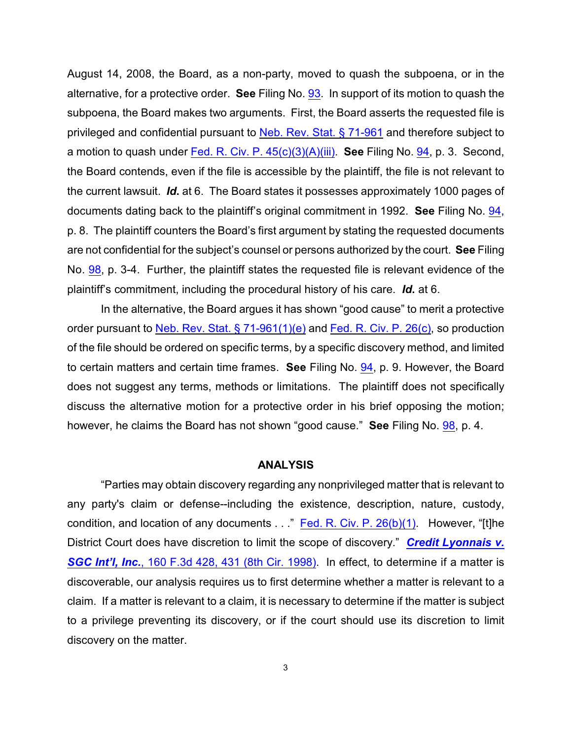August 14, 2008, the Board, as a non-party, moved to quash the subpoena, or in the alternative, for a protective order. **See** Filing No. [93](http://ecf.ned.uscourts.gov/doc1/11301514612). In support of its motion to quash the subpoena, the Board makes two arguments. First, the Board asserts the requested file is privileged and confidential pursuant to [Neb. Rev. Stat. § 71-961](http://www.westlaw.com/find/default.wl?rs=CLWP3.0&vr=2.0&cite=NE+ST+s+71-961) and therefore subject to a motion to quash under [Fed. R. Civ. P. 45\(c\)\(3\)\(A\)\(iii\)](http://www.westlaw.com/find/default.wl?rs=CLWP3.0&vr=2.0&cite=FRCP+45). **See** Filing No. [94](http://ecf.ned.uscourts.gov/doc1/11301514615), p. 3. Second, the Board contends, even if the file is accessible by the plaintiff, the file is not relevant to the current lawsuit. *Id***.** at 6. The Board states it possesses approximately 1000 pages of documents dating back to the plaintiff's original commitment in 1992. **See** Filing No. [94](http://ecf.ned.uscourts.gov/doc1/11301514615), p. 8. The plaintiff counters the Board's first argument by stating the requested documents are not confidential for the subject's counsel or persons authorized by the court. **See** Filing No. [98](http://ecf.ned.uscourts.gov/doc1/11301523088), p. 3-4. Further, the plaintiff states the requested file is relevant evidence of the plaintiff's commitment, including the procedural history of his care. *Id***.** at 6.

In the alternative, the Board argues it has shown "good cause" to merit a protective order pursuant to [Neb. Rev. Stat. § 71-961\(1\)\(e\)](http://www.westlaw.com/find/default.wl?rs=CLWP3.0&vr=2.0&cite=NE+ST+s+71-961%281%29%28e%29) and [Fed. R. Civ. P. 26\(c\)](http://www.westlaw.com/find/default.wl?rs=CLWP3.0&vr=2.0&cite=FRCP+P.+26%28c%29), so production of the file should be ordered on specific terms, by a specific discovery method, and limited to certain matters and certain time frames. **See** Filing No. [94](http://ecf.ned.uscourts.gov/doc1/11301514615), p. 9. However, the Board does not suggest any terms, methods or limitations. The plaintiff does not specifically discuss the alternative motion for a protective order in his brief opposing the motion; however, he claims the Board has not shown "good cause." **See** Filing No. [98](http://ecf.ned.uscourts.gov/doc1/11301523088), p. 4.

#### **ANALYSIS**

"Parties may obtain discovery regarding any nonprivileged matter that is relevant to any party's claim or defense--including the existence, description, nature, custody, condition, and location of any documents . . ." Fed. R. [Civ. P. 26\(b\)\(1\)](http://www.westlaw.com/find/default.wl?rs=CLWP3.0&vr=2.0&cite=FRCP+P.+26%28b%29%281%29). However, "[t]he District Court does have discretion to limit the scope of discovery." *[Credit Lyonnais v.](http://www.westlaw.com/find/default.wl?rs=CLWP3.0&vr=2.0&cite=160+F.3d+428)* **SGC Int'l, Inc.**[, 160 F.3d 428, 431 \(8th Cir. 1998\)](http://www.westlaw.com/find/default.wl?rs=CLWP3.0&vr=2.0&cite=160+F.3d+428). In effect, to determine if a matter is discoverable, our analysis requires us to first determine whether a matter is relevant to a claim. If a matter is relevant to a claim, it is necessary to determine if the matter is subject to a privilege preventing its discovery, or if the court should use its discretion to limit discovery on the matter.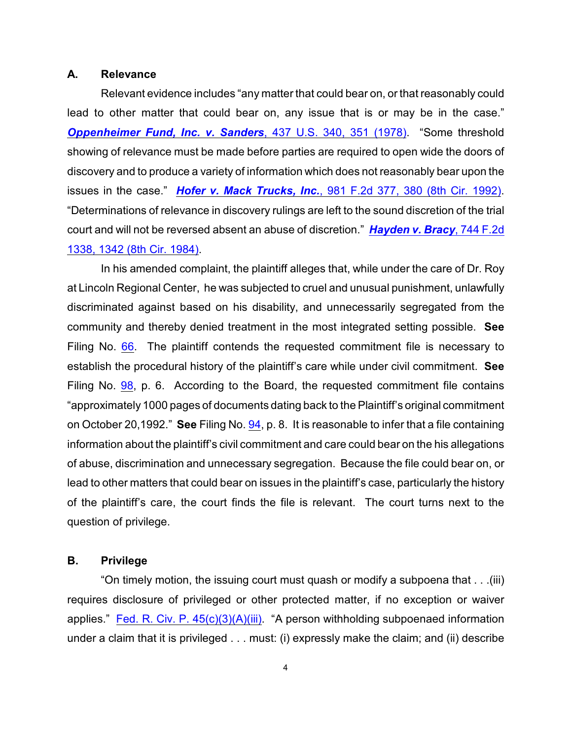#### **A. Relevance**

Relevant evidence includes "any matter that could bear on, or that reasonably could lead to other matter that could bear on, any issue that is or may be in the case." *[Oppenheimer Fund, Inc. v. Sanders](http://www.westlaw.com/find/default.wl?rs=CLWP3.0&vr=2.0&cite=437+U.S.+340)*, 437 U.S. 340, 351 (1978). "Some threshold showing of relevance must be made before parties are required to open wide the doors of discovery and to produce a variety of information which does not reasonably bear upon the issues in the case." *Hofer v. Mack Trucks, Inc.*[, 981 F.2d 377, 380 \(8th Cir. 1992\)](http://www.westlaw.com/find/default.wl?rs=CLWP3.0&vr=2.0&cite=981+F.2d+377). "Determinations of relevance in discovery rulings are left to the sound discretion of the trial court and will not be reversed absent an abuse of discretion." *[Hayden v. Bracy](http://www.westlaw.com/find/default.wl?rs=CLWP3.0&vr=2.0&cite=744+F.2d+1338)*, 744 F.2d [1338, 1342 \(8th Cir. 1984\)](http://www.westlaw.com/find/default.wl?rs=CLWP3.0&vr=2.0&cite=744+F.2d+1338).

In his amended complaint, the plaintiff alleges that, while under the care of Dr. Roy at Lincoln Regional Center, he was subjected to cruel and unusual punishment, unlawfully discriminated against based on his disability, and unnecessarily segregated from the community and thereby denied treatment in the most integrated setting possible. **See** Filing No. [66](http://ecf.ned.uscourts.gov/doc1/11301374197). The plaintiff contends the requested commitment file is necessary to establish the procedural history of the plaintiff's care while under civil commitment. **See** Filing No. [98](http://ecf.ned.uscourts.gov/doc1/11301523088), p. 6. According to the Board, the requested commitment file contains "approximately 1000 pages of documents dating back to the Plaintiff's original commitment on October 20,1992." **See** Filing No. [94](http://ecf.ned.uscourts.gov/doc1/11301514615), p. 8. It is reasonable to infer that a file containing information about the plaintiff's civil commitment and care could bear on the his allegations of abuse, discrimination and unnecessary segregation. Because the file could bear on, or lead to other matters that could bear on issues in the plaintiff's case, particularly the history of the plaintiff's care, the court finds the file is relevant. The court turns next to the question of privilege.

### **B. Privilege**

"On timely motion, the issuing court must quash or modify a subpoena that . . .(iii) requires disclosure of privileged or other protected matter, if no exception or waiver applies." Fed. R. Civ. P.  $45(c)(3)(A)(iii)$ . "A person withholding subpoenaed information under a claim that it is privileged . . . must: (i) expressly make the claim; and (ii) describe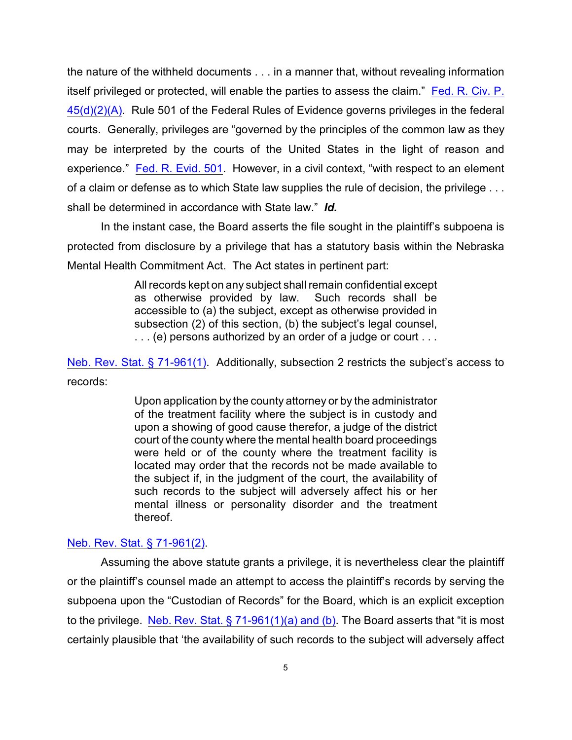the nature of the withheld documents . . . in a manner that, without revealing information itself privileged or protected, will enable the parties to assess the claim." [Fed. R. Civ. P.](http://www.westlaw.com/find/default.wl?rs=CLWP3.0&vr=2.0&cite=FRCP+P.+45%28d%29%282%29%28A%29) [45\(d\)\(2\)\(A\)](http://www.westlaw.com/find/default.wl?rs=CLWP3.0&vr=2.0&cite=FRCP+P.+45%28d%29%282%29%28A%29). Rule 501 of the Federal Rules of Evidence governs privileges in the federal courts. Generally, privileges are "governed by the principles of the common law as they may be interpreted by the courts of the United States in the light of reason and experience." [Fed. R. Evid. 501](http://www.westlaw.com/find/default.wl?rs=CLWP3.0&vr=2.0&cite=FRE+501). However, in a civil context, "with respect to an element of a claim or defense as to which State law supplies the rule of decision, the privilege . . . shall be determined in accordance with State law." *Id.* 

In the instant case, the Board asserts the file sought in the plaintiff's subpoena is protected from disclosure by a privilege that has a statutory basis within the Nebraska Mental Health Commitment Act. The Act states in pertinent part:

> All records kept on any subject shall remain confidential except as otherwise provided by law. Such records shall be accessible to (a) the subject, except as otherwise provided in subsection (2) of this section, (b) the subject's legal counsel, . . . (e) persons authorized by an order of a judge or court . . .

[Neb. Rev. Stat. § 71-961\(1\)](http://www.westlaw.com/find/default.wl?rs=CLWP3.0&vr=2.0&cite=NE+ST+s+71-961%281%29). Additionally, subsection 2 restricts the subject's access to records:

> Upon application by the county attorney or by the administrator of the treatment facility where the subject is in custody and upon a showing of good cause therefor, a judge of the district court of the county where the mental health board proceedings were held or of the county where the treatment facility is located may order that the records not be made available to the subject if, in the judgment of the court, the availability of such records to the subject will adversely affect his or her mental illness or personality disorder and the treatment thereof.

### [Neb. Rev. Stat. § 71-961\(2\)](http://www.westlaw.com/find/default.wl?rs=CLWP3.0&vr=2.0&cite=NE+ST+s+71-961%282%29).

Assuming the above statute grants a privilege, it is nevertheless clear the plaintiff or the plaintiff's counsel made an attempt to access the plaintiff's records by serving the subpoena upon the "Custodian of Records" for the Board, which is an explicit exception to the privilege. [Neb. Rev. Stat. § 71-961\(1\)\(a\) and \(b\)](http://www.westlaw.com/find/default.wl?rs=CLWP3.0&vr=2.0&cite=NE+ST+s+71-961%281%29%28a%29). The Board asserts that "it is most certainly plausible that 'the availability of such records to the subject will adversely affect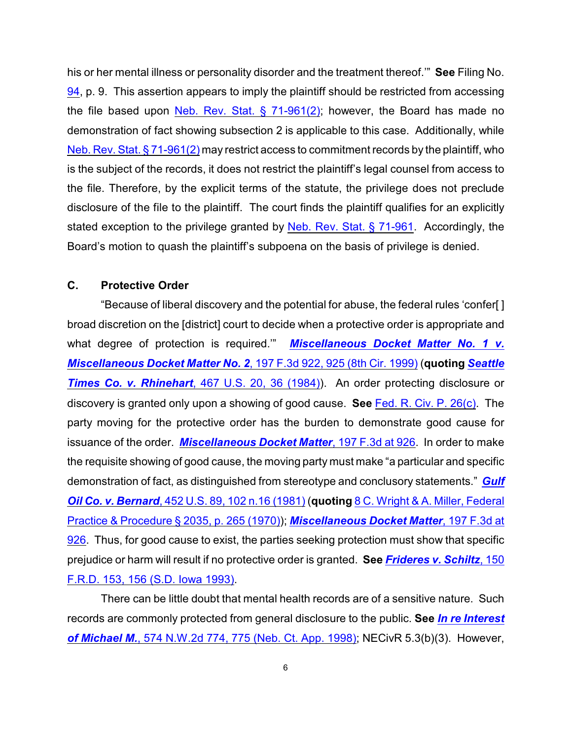his or her mental illness or personality disorder and the treatment thereof.'" **See** Filing No. [94](http://ecf.ned.uscourts.gov/doc1/11301514615), p. 9. This assertion appears to imply the plaintiff should be restricted from accessing the file based upon Neb. Rev. Stat.  $\S$  71-961(2); however, the Board has made no demonstration of fact showing subsection 2 is applicable to this case. Additionally, while [Neb. Rev. Stat. § 71-961\(2\)](http://www.westlaw.com/find/default.wl?rs=CLWP3.0&vr=2.0&cite=NE+ST+s+71-961%282%29) may restrict access to commitment records by the plaintiff, who is the subject of the records, it does not restrict the plaintiff's legal counsel from access to the file. Therefore, by the explicit terms of the statute, the privilege does not preclude disclosure of the file to the plaintiff. The court finds the plaintiff qualifies for an explicitly stated exception to the privilege granted by [Neb. Rev. Stat. § 71-961](http://www.westlaw.com/find/default.wl?rs=CLWP3.0&vr=2.0&cite=NE+ST+s+71-961). Accordingly, the Board's motion to quash the plaintiff's subpoena on the basis of privilege is denied.

# **C. Protective Order**

"Because of liberal discovery and the potential for abuse, the federal rules 'confer[ ] broad discretion on the [district] court to decide when a protective order is appropriate and what degree of protection is required.'" *[Miscellaneous Docket Matter No. 1 v.](http://www.westlaw.com/find/default.wl?rs=CLWP3.0&vr=2.0&cite=197+F.3d+922) [Miscellaneous Docket Matter No. 2](http://www.westlaw.com/find/default.wl?rs=CLWP3.0&vr=2.0&cite=197+F.3d+922)*, 197 F.3d 922, 925 (8th Cir. 1999) (**quoting** *[Seattle](http://www.westlaw.com/find/default.wl?rs=CLWP3.0&vr=2.0&cite=467+U.S.+20) Times Co. v. Rhinehart*[, 467 U.S. 20, 36 \(1984\)](http://www.westlaw.com/find/default.wl?rs=CLWP3.0&vr=2.0&cite=467+U.S.+20)). An order protecting disclosure or discovery is granted only upon a showing of good cause. **See** [Fed. R. Civ. P. 26\(c\)](http://www.westlaw.com/find/default.wl?rs=CLWP3.0&vr=2.0&cite=FRCP+P.+26%28c%29). The party moving for the protective order has the burden to demonstrate good cause for issuance of the order. *[Miscellaneous Docket Matter](http://www.westlaw.com/find/default.wl?rs=CLWP3.0&vr=2.0&cite=197+F.3d+926)*, 197 F.3d at 926. In order to make the requisite showing of good cause, the moving party must make "a particular and specific demonstration of fact, as distinguished from stereotype and conclusory statements." *[Gulf](http://www.westlaw.com/find/default.wl?rs=CLWP3.0&vr=2.0&cite=452+U.S.+89) Oil Co. v. Bernard*[, 452 U.S. 89, 102 n.16 \(1981\)](http://www.westlaw.com/find/default.wl?rs=CLWP3.0&vr=2.0&cite=452+U.S.+89) (**quoting** [8 C. Wright & A. Miller, Federal](http://www.westlaw.com/find/default.wl?rs=CLWP3.0&vr=2.0&cite=8+FPP+s+2035) Practice & Procedure [§ 2035, p. 265 \(1970\)](http://www.westlaw.com/find/default.wl?rs=CLWP3.0&vr=2.0&cite=8+FPP+s+2035)); *[Miscellaneous Docket Matter](http://www.westlaw.com/find/default.wl?rs=CLWP3.0&vr=2.0&cite=197+F.3d+926)*, 197 F.3d at [926](http://www.westlaw.com/find/default.wl?rs=CLWP3.0&vr=2.0&cite=197+F.3d+926). Thus, for good cause to exist, the parties seeking protection must show that specific prejudice or harm will result if no protective order is granted. **See** *[Frideres v. Schiltz](http://www.westlaw.com/find/default.wl?rs=CLWP3.0&vr=2.0&cite=150+F.R.D.+153)*, 150 [F.R.D. 153, 156 \(S.D. Iowa 1993\)](http://www.westlaw.com/find/default.wl?rs=CLWP3.0&vr=2.0&cite=150+F.R.D.+153).

There can be little doubt that mental health records are of a sensitive nature. Such records are commonly protected from general disclosure to the public. **See** *[In re Interest](http://www.westlaw.com/find/default.wl?rs=CLWP3.0&vr=2.0&cite=574+N.W.2d+774) of Michael M.*[, 574 N.W.2d 774, 775 \(Neb. Ct. App. 1998\)](http://www.westlaw.com/find/default.wl?rs=CLWP3.0&vr=2.0&cite=574+N.W.2d+774); NECivR 5.3(b)(3). However,